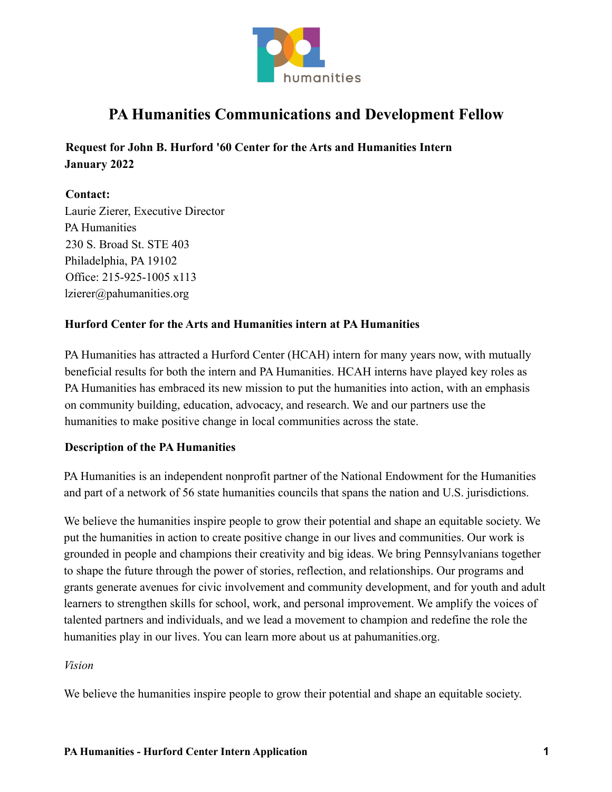

# **PA Humanities Communications and Development Fellow**

**Request for John B. Hurford '60 Center for the Arts and Humanities Intern January 2022**

## **Contact:**

Laurie Zierer, Executive Director PA Humanities 230 S. Broad St. STE 403 Philadelphia, PA 19102 Office: 215-925-1005 x113 lzierer@pahumanities.org

## **Hurford Center for the Arts and Humanities intern at PA Humanities**

PA Humanities has attracted a Hurford Center (HCAH) intern for many years now, with mutually beneficial results for both the intern and PA Humanities. HCAH interns have played key roles as PA Humanities has embraced its new mission to put the humanities into action, with an emphasis on community building, education, advocacy, and research. We and our partners use the humanities to make positive change in local communities across the state.

## **Description of the PA Humanities**

PA Humanities is an independent nonprofit partner of the National Endowment for the Humanities and part of a network of 56 state humanities councils that spans the nation and U.S. jurisdictions.

We believe the humanities inspire people to grow their potential and shape an equitable society. We put the humanities in action to create positive change in our lives and communities. Our work is grounded in people and champions their creativity and big ideas. We bring Pennsylvanians together to shape the future through the power of stories, reflection, and relationships. Our programs and grants generate avenues for civic involvement and community development, and for youth and adult learners to strengthen skills for school, work, and personal improvement. We amplify the voices of talented partners and individuals, and we lead a movement to champion and redefine the role the humanities play in our lives. You can learn more about us at pahumanities.org.

#### *Vision*

We believe the humanities inspire people to grow their potential and shape an equitable society.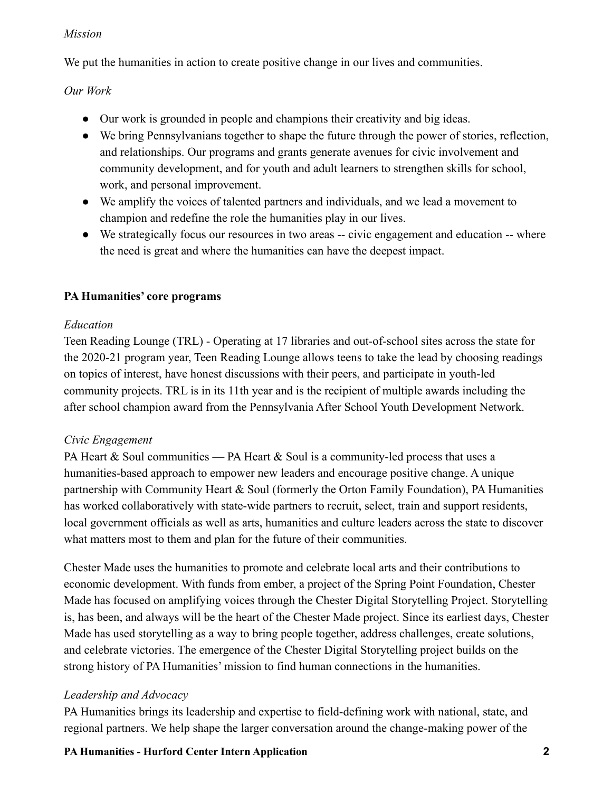#### *Mission*

We put the humanities in action to create positive change in our lives and communities.

*Our Work*

- Our work is grounded in people and champions their creativity and big ideas.
- We bring Pennsylvanians together to shape the future through the power of stories, reflection, and relationships. Our programs and grants generate avenues for civic involvement and community development, and for youth and adult learners to strengthen skills for school, work, and personal improvement.
- We amplify the voices of talented partners and individuals, and we lead a movement to champion and redefine the role the humanities play in our lives.
- We strategically focus our resources in two areas -- civic engagement and education -- where the need is great and where the humanities can have the deepest impact.

# **PA Humanities' core programs**

# *Education*

Teen Reading Lounge (TRL) - Operating at 17 libraries and out-of-school sites across the state for the 2020-21 program year, Teen Reading Lounge allows teens to take the lead by choosing readings on topics of interest, have honest discussions with their peers, and participate in youth-led community projects. TRL is in its 11th year and is the recipient of multiple awards including the after school champion award from the Pennsylvania After School Youth Development Network.

# *Civic Engagement*

PA Heart  $&$  Soul communities — PA Heart  $&$  Soul is a community-led process that uses a humanities-based approach to empower new leaders and encourage positive change. A unique partnership with Community Heart & Soul (formerly the Orton Family Foundation), PA Humanities has worked collaboratively with state-wide partners to recruit, select, train and support residents, local government officials as well as arts, humanities and culture leaders across the state to discover what matters most to them and plan for the future of their communities.

Chester Made uses the humanities to promote and celebrate local arts and their contributions to economic development. With funds from ember, a project of the Spring Point Foundation, Chester Made has focused on amplifying voices through the Chester Digital Storytelling Project. Storytelling is, has been, and always will be the heart of the Chester Made project. Since its earliest days, Chester Made has used storytelling as a way to bring people together, address challenges, create solutions, and celebrate victories. The emergence of the Chester Digital Storytelling project builds on the strong history of PA Humanities' mission to find human connections in the humanities.

# *Leadership and Advocacy*

PA Humanities brings its leadership and expertise to field-defining work with national, state, and regional partners. We help shape the larger conversation around the change-making power of the

# **PA Humanities - Hurford Center Intern Application 2**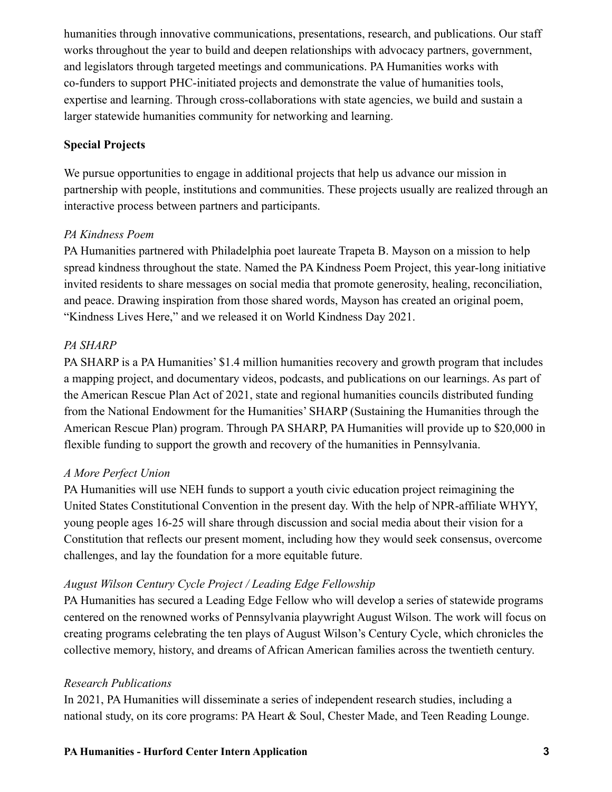humanities through innovative communications, presentations, research, and publications. Our staff works throughout the year to build and deepen relationships with advocacy partners, government, and legislators through targeted meetings and communications. PA Humanities works with co-funders to support PHC-initiated projects and demonstrate the value of humanities tools, expertise and learning. Through cross-collaborations with state agencies, we build and sustain a larger statewide humanities community for networking and learning.

### **Special Projects**

We pursue opportunities to engage in additional projects that help us advance our mission in partnership with people, institutions and communities. These projects usually are realized through an interactive process between partners and participants.

### *PA Kindness Poem*

PA Humanities partnered with Philadelphia poet laureate Trapeta B. Mayson on a mission to help spread kindness throughout the state. Named the PA Kindness Poem Project, this year-long initiative invited residents to share messages on social media that promote generosity, healing, reconciliation, and peace. Drawing inspiration from those shared words, Mayson has created an original poem, "Kindness Lives Here," and we released it on World Kindness Day 2021.

## *PA SHARP*

PA SHARP is a PA Humanities' \$1.4 million humanities recovery and growth program that includes a mapping project, and documentary videos, podcasts, and publications on our learnings. As part of the American Rescue Plan Act of 2021, state and regional humanities councils distributed funding from the National Endowment for the Humanities' SHARP (Sustaining the Humanities through the American Rescue Plan) program. Through PA SHARP, PA Humanities will provide up to \$20,000 in flexible funding to support the growth and recovery of the humanities in Pennsylvania.

#### *A More Perfect Union*

PA Humanities will use NEH funds to support a youth civic education project reimagining the United States Constitutional Convention in the present day. With the help of NPR-affiliate WHYY, young people ages 16-25 will share through discussion and social media about their vision for a Constitution that reflects our present moment, including how they would seek consensus, overcome challenges, and lay the foundation for a more equitable future.

#### *August Wilson Century Cycle Project / Leading Edge Fellowship*

PA Humanities has secured a Leading Edge Fellow who will develop a series of statewide programs centered on the renowned works of Pennsylvania playwright August Wilson. The work will focus on creating programs celebrating the ten plays of August Wilson's Century Cycle, which chronicles the collective memory, history, and dreams of African American families across the twentieth century.

#### *Research Publications*

In 2021, PA Humanities will disseminate a series of independent research studies, including a national study, on its core programs: PA Heart & Soul, Chester Made, and Teen Reading Lounge.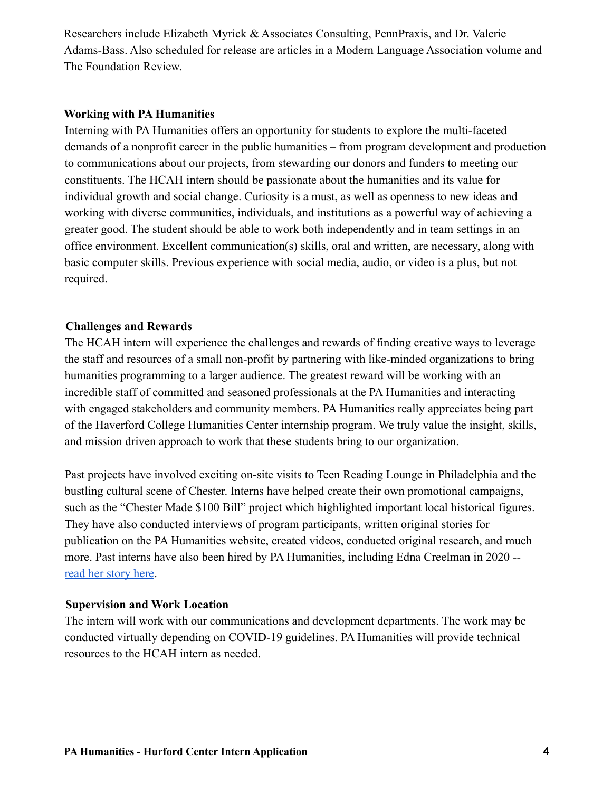Researchers include Elizabeth Myrick & Associates Consulting, PennPraxis, and Dr. Valerie Adams-Bass. Also scheduled for release are articles in a Modern Language Association volume and The Foundation Review.

#### **Working with PA Humanities**

Interning with PA Humanities offers an opportunity for students to explore the multi-faceted demands of a nonprofit career in the public humanities – from program development and production to communications about our projects, from stewarding our donors and funders to meeting our constituents. The HCAH intern should be passionate about the humanities and its value for individual growth and social change. Curiosity is a must, as well as openness to new ideas and working with diverse communities, individuals, and institutions as a powerful way of achieving a greater good. The student should be able to work both independently and in team settings in an office environment. Excellent communication(s) skills, oral and written, are necessary, along with basic computer skills. Previous experience with social media, audio, or video is a plus, but not required.

### **Challenges and Rewards**

The HCAH intern will experience the challenges and rewards of finding creative ways to leverage the staff and resources of a small non-profit by partnering with like-minded organizations to bring humanities programming to a larger audience. The greatest reward will be working with an incredible staff of committed and seasoned professionals at the PA Humanities and interacting with engaged stakeholders and community members. PA Humanities really appreciates being part of the Haverford College Humanities Center internship program. We truly value the insight, skills, and mission driven approach to work that these students bring to our organization.

Past projects have involved exciting on-site visits to Teen Reading Lounge in Philadelphia and the bustling cultural scene of Chester. Interns have helped create their own promotional campaigns, such as the "Chester Made \$100 Bill" project which highlighted important local historical figures. They have also conducted interviews of program participants, written original stories for publication on the PA Humanities website, created videos, conducted original research, and much more. Past interns have also been hired by PA Humanities, including Edna Creelman in 2020 - [read her story here](https://pahumanities.org/conversations/2020/07/30/yes-i-interned-at-phc-during-a-global-pandemic/).

#### **Supervision and Work Location**

The intern will work with our communications and development departments. The work may be conducted virtually depending on COVID-19 guidelines. PA Humanities will provide technical resources to the HCAH intern as needed.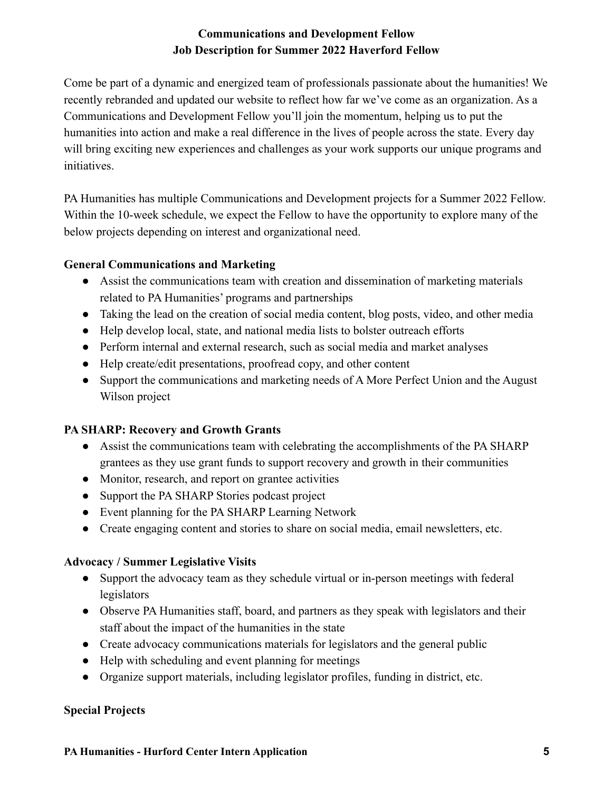# **Communications and Development Fellow Job Description for Summer 2022 Haverford Fellow**

Come be part of a dynamic and energized team of professionals passionate about the humanities! We recently rebranded and updated our website to reflect how far we've come as an organization. As a Communications and Development Fellow you'll join the momentum, helping us to put the humanities into action and make a real difference in the lives of people across the state. Every day will bring exciting new experiences and challenges as your work supports our unique programs and initiatives.

PA Humanities has multiple Communications and Development projects for a Summer 2022 Fellow. Within the 10-week schedule, we expect the Fellow to have the opportunity to explore many of the below projects depending on interest and organizational need.

## **General Communications and Marketing**

- Assist the communications team with creation and dissemination of marketing materials related to PA Humanities' programs and partnerships
- Taking the lead on the creation of social media content, blog posts, video, and other media
- Help develop local, state, and national media lists to bolster outreach efforts
- Perform internal and external research, such as social media and market analyses
- Help create/edit presentations, proofread copy, and other content
- Support the communications and marketing needs of A More Perfect Union and the August Wilson project

# **PA SHARP: Recovery and Growth Grants**

- Assist the communications team with celebrating the accomplishments of the PA SHARP grantees as they use grant funds to support recovery and growth in their communities
- Monitor, research, and report on grantee activities
- Support the PA SHARP Stories podcast project
- Event planning for the PA SHARP Learning Network
- Create engaging content and stories to share on social media, email newsletters, etc.

# **Advocacy / Summer Legislative Visits**

- Support the advocacy team as they schedule virtual or in-person meetings with federal legislators
- Observe PA Humanities staff, board, and partners as they speak with legislators and their staff about the impact of the humanities in the state
- Create advocacy communications materials for legislators and the general public
- Help with scheduling and event planning for meetings
- Organize support materials, including legislator profiles, funding in district, etc.

## **Special Projects**